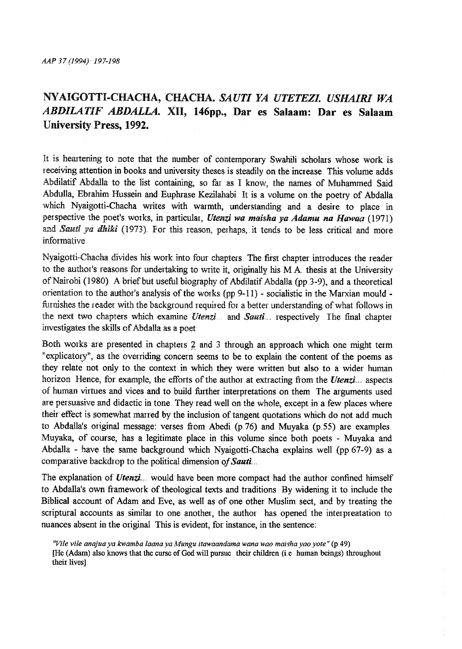## NYAIGOTTI-CHACHA, CHACHA. *SAUTI YA UTETEZL USHAIRI WA ABDILATIF ABDALLA.* XII, **146pp.,** Dar es **Salaam: Dar es Salaam**  University Press, 1992.

It is heartening to note that the number of contemporary Swahili scholars whose work is receiving attention in books and university theses is steadily on the increase. This volume adds Abdilatif Abdalla to the list containing, so far as I know, the names of Muhammed Said Abdulla, Ebrahim Hussein and Euphrase Kezilahabi It is a volume on the poetry of Abdalla which Nyaigotti-Chacha writes with warmth, understanding and a desire to place in perspective the poet's works, in particular, *Utenzi wa maisha ya Adamu na Hawaa* (1971) and *Sauti ya dhiki* (1973). For this reason, perhaps, it tends to be less critical and more informative

Nyaigotti-Chacha divides his work into four chapters. The first chapter introduces the reader to the author's reasons for undertaking to Wiite it, originally his M A thesis at the University of Nairobi (1980). A brief but useful biography of Abdilatif Abdalla (pp.3-9), and a theoretical orientation to the author's analysis of the works (pp 9-11) - socialistic in the Marxian mould furnishes the reader with the background required for a better understanding of what follows in the next two chapters which examine *Utenzi* and *Sauti ..* respectively The final chapter investigates the skills of Abdalla as a poet

Both works are presented in chapters 2 and 3 through an approach which one might term "explicatory", as the oveniding concern seems to be to explain the content of the poems as they relate not only to the context in which they were written but also to a wider human horizon Hence, for example, the efforts of the author at extracting from the *Utenzi* aspects of human virtues and vices and to build further interpretations on them. The arguments used are persuasive and didactic in tone. They read well on the whole, except in a few places where their effect is somewhat marred by the inclusion of tangent quotations which do not add much to Abdalla's original message: verses from Abedi (p.76) and Muyaka (p.55) are examples. Muyaka, of course, has a legitimate place in this volume since both poets - Muyaka and Abdalla - have the same background which Nyaigotti-Chacha explains well (pp 67-9) as a comparative backdrop to the political dimension of Sauti...

The explanation of *Utenzi.* would have been more compact had the author confined himself to Abdalla's own framework of theological texts and traditions By widening it to include the Biblical account of Adam and Eve, as well as of one other Muslim sect, and by treating the scriptural accounts as similar to one another, the author has opened the interpreatation to nuances absent in the original This is evident, for instance, in the sentence:

**<sup>11</sup>***Vi/e vile anajua ya kwamba Jaana ya Mungu itawaandama wana wao maisha yaoyote"* **(p 49)**  [He (Adam) also knows that the curse of God will pursue their children (i.e. human beings) throughout their lives]